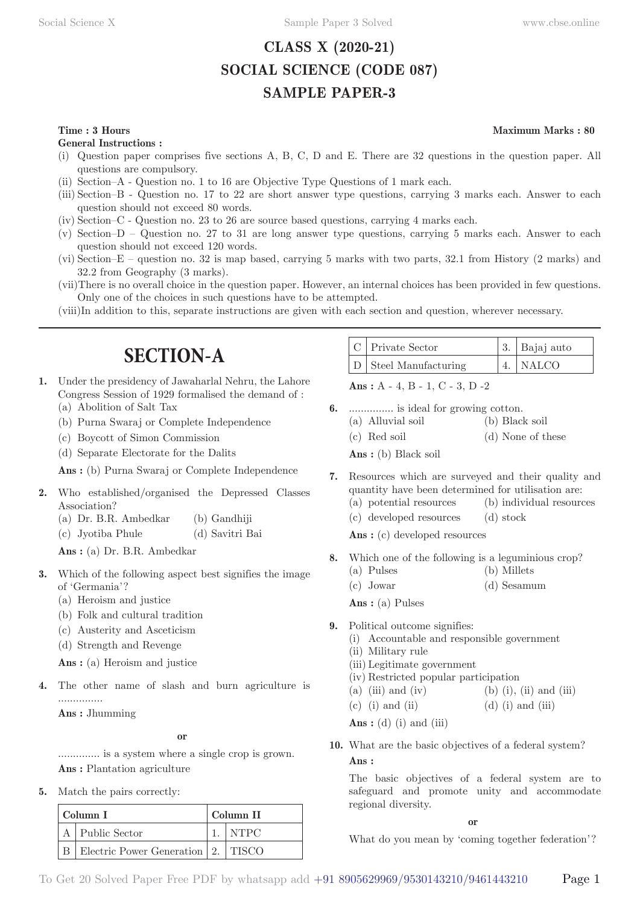## **CLASS X (2020-21) SOCIAL SCIENCE (CODE 087) SAMPLE PAPER-3**

#### **Time : 3 Hours** Maximum Marks : 80

**General Instructions :**

- (i) Question paper comprises five sections A, B, C, D and E. There are 32 questions in the question paper. All questions are compulsory.
- (ii) Section–A Question no. 1 to 16 are Objective Type Questions of 1 mark each.
- (iii) Section–B Question no. 17 to 22 are short answer type questions, carrying 3 marks each. Answer to each question should not exceed 80 words.
- (iv) Section–C Question no. 23 to 26 are source based questions, carrying 4 marks each.
- (v) Section–D Question no. 27 to 31 are long answer type questions, carrying 5 marks each. Answer to each question should not exceed 120 words.
- (vi) Section–E question no. 32 is map based, carrying 5 marks with two parts, 32.1 from History (2 marks) and 32.2 from Geography (3 marks).
- (vii) There is no overall choice in the question paper. However, an internal choices has been provided in few questions. Only one of the choices in such questions have to be attempted.
- (viii) In addition to this, separate instructions are given with each section and question, wherever necessary.

## **SECTION-A**

- **1.** Under the presidency of Jawaharlal Nehru, the Lahore Congress Session of 1929 formalised the demand of : (a) Abolition of Salt Tax
	- (b) Purna Swaraj or Complete Independence
	- (c) Boycott of Simon Commission
	- (d) Separate Electorate for the Dalits

**Ans :** (b) Purna Swaraj or Complete Independence

- **2.** Who established/organised the Depressed Classes Association?
	- (a) Dr. B.R. Ambedkar (b) Gandhiji
	- (c) Jyotiba Phule (d) Savitri Bai

**Ans :** (a) Dr. B.R. Ambedkar

- **3.** Which of the following aspect best signifies the image of 'Germania'?
	- (a) Heroism and justice
	- (b) Folk and cultural tradition
	- (c) Austerity and Asceticism
	- (d) Strength and Revenge

**Ans :** (a) Heroism and justice

**4.** The other name of slash and burn agriculture is ...............

**Ans :** Jhumming

**or**

.............. is a system where a single crop is grown. **Ans :** Plantation agriculture

**5.** Match the pairs correctly:

| Column I |                                            |  | Column II             |  |  |
|----------|--------------------------------------------|--|-----------------------|--|--|
|          | A   Public Sector                          |  | $\overline{\rm NTPC}$ |  |  |
|          | B   Electric Power Generation   2.   TISCO |  |                       |  |  |

| C   Private Sector      | 3. Bajaj auto |
|-------------------------|---------------|
| $D$ Steel Manufacturing | 4. $NALCO$    |

**Ans :** A - 4, B - 1, C - 3, D -2

- **6.** ............... is ideal for growing cotton.
	- (a) Alluvial soil (b) Black soil (c) Red soil (d) None of these **Ans :** (b) Black soil
- **7.** Resources which are surveyed and their quality and quantity have been determined for utilisation are: (a) potential resources (b) individual resources
	- (c) developed resources (d) stock

Ans: (c) developed resources

- **8.** Which one of the following is a leguminious crop?
	- (a) Pulses (b) Millets
	- (c) Jowar (d) Sesamum

**Ans :** (a) Pulses

- **9.** Political outcome signifies:
	- (i) Accountable and responsible government
	- (ii) Military rule
	- (iii) Legitimate government
	- (iv) Restricted popular participation
	- (a) (iii) and (iv) (b) (i), (ii) and (iii)
	- (c) (i) and (ii)  $(d)$  (i) and (iii)

**Ans :** (d) (i) and (iii)

**10.** What are the basic objectives of a federal system? **Ans :** 

The basic objectives of a federal system are to safeguard and promote unity and accommodate regional diversity.

**or**

What do you mean by 'coming together federation'?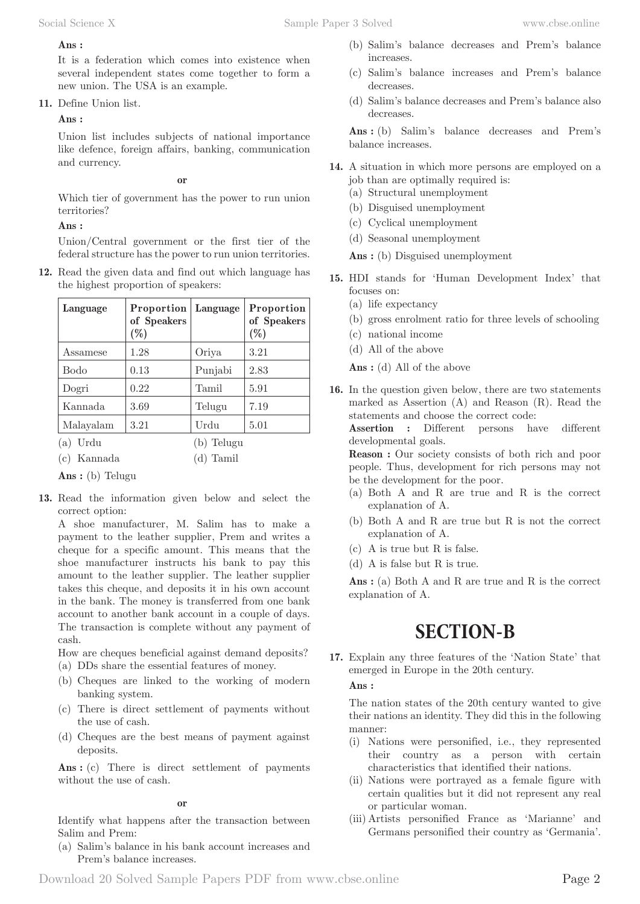#### **Ans :**

It is a federation which comes into existence when several independent states come together to form a new union. The USA is an example.

**11.** Define Union list.

**Ans :** 

Union list includes subjects of national importance like defence, foreign affairs, banking, communication and currency.

**or**

Which tier of government has the power to run union territories?

#### **Ans :**

Union/Central government or the first tier of the federal structure has the power to run union territories.

**12.** Read the given data and find out which language has the highest proportion of speakers:

| Language   | Proportion<br>of Speakers<br>$(\%)$ | Language | Proportion<br>of Speakers<br>$(\%)$ |
|------------|-------------------------------------|----------|-------------------------------------|
| Assamese   | 1.28                                | Oriya    | 3.21                                |
| Bodo       | 0.13                                | Punjabi  | 2.83                                |
| Dogri      | 0.22                                | Tamil    | 5.91                                |
| Kannada    | 3.69                                | Telugu   | 7.19                                |
| Malayalam  | 3.21                                | Urdu     | 5.01                                |
| Urdu<br>(a |                                     | Telugu   |                                     |

(c) Kannada (d) Tamil

**Ans :** (b) Telugu

**13.** Read the information given below and select the correct option:

A shoe manufacturer, M. Salim has to make a payment to the leather supplier, Prem and writes a cheque for a specific amount. This means that the shoe manufacturer instructs his bank to pay this amount to the leather supplier. The leather supplier takes this cheque, and deposits it in his own account in the bank. The money is transferred from one bank account to another bank account in a couple of days. The transaction is complete without any payment of cash.

How are cheques beneficial against demand deposits?

- (a) DDs share the essential features of money.
- (b) Cheques are linked to the working of modern banking system.
- (c) There is direct settlement of payments without the use of cash.
- (d) Cheques are the best means of payment against deposits.

Ans : (c) There is direct settlement of payments without the use of cash.

**or**

Identify what happens after the transaction between Salim and Prem:

(a) Salim's balance in his bank account increases and Prem's balance increases.

- (b) Salim's balance decreases and Prem's balance increases.
- (c) Salim's balance increases and Prem's balance decreases.
- (d) Salim's balance decreases and Prem's balance also decreases.

Ans: (b) Salim's balance decreases and Prem's balance increases.

- **14.** A situation in which more persons are employed on a job than are optimally required is:
	- (a) Structural unemployment
	- (b) Disguised unemployment
	- (c) Cyclical unemployment
	- (d) Seasonal unemployment

**Ans :** (b) Disguised unemployment

- **15.** HDI stands for 'Human Development Index' that focuses on:
	- (a) life expectancy
	- (b) gross enrolment ratio for three levels of schooling
	- (c) national income
	- (d) All of the above

**Ans :** (d) All of the above

**16.** In the question given below, there are two statements marked as Assertion (A) and Reason (R). Read the statements and choose the correct code:

**Assertion :** Different persons have different developmental goals.

**Reason :** Our society consists of both rich and poor people. Thus, development for rich persons may not be the development for the poor.

- (a) Both A and R are true and R is the correct explanation of A.
- (b) Both A and R are true but R is not the correct explanation of A.
- (c) A is true but R is false.
- (d) A is false but R is true.

Ans : (a) Both A and R are true and R is the correct explanation of A.

## **SECTION-B**

**17.** Explain any three features of the 'Nation State' that emerged in Europe in the 20th century.

#### **Ans :**

The nation states of the 20th century wanted to give their nations an identity. They did this in the following manner:

- (i) Nations were personified, i.e., they represented their country as a person with certain characteristics that identified their nations.
- (ii) Nations were portrayed as a female figure with certain qualities but it did not represent any real or particular woman.
- (iii) Artists personified France as 'Marianne' and Germans personified their country as 'Germania'.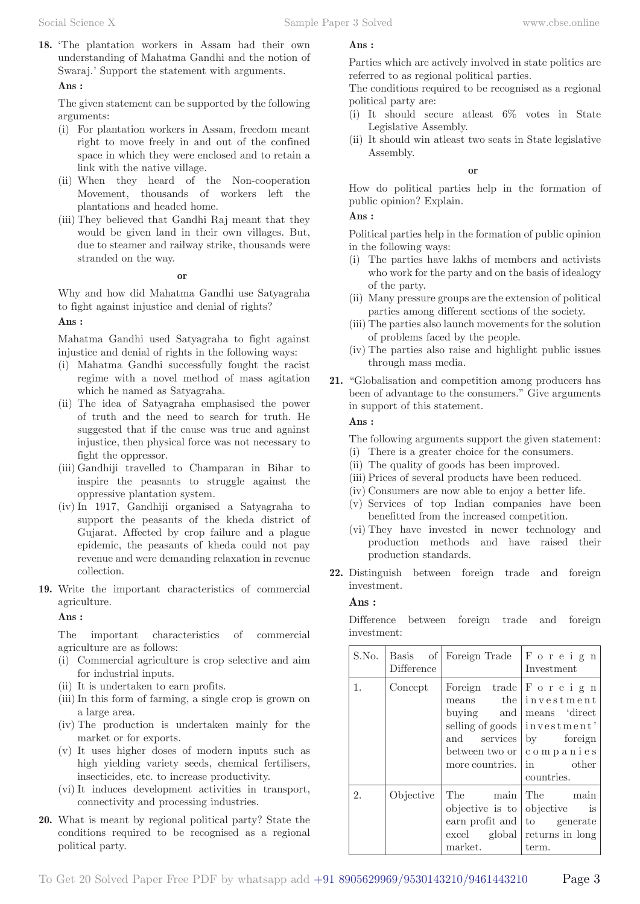**18.** 'The plantation workers in Assam had their own understanding of Mahatma Gandhi and the notion of Swaraj.' Support the statement with arguments.

#### **Ans :**

The given statement can be supported by the following arguments:

- (i) For plantation workers in Assam, freedom meant right to move freely in and out of the confined space in which they were enclosed and to retain a link with the native village.
- (ii) When they heard of the Non-cooperation Movement, thousands of workers left the plantations and headed home.
- (iii) They believed that Gandhi Raj meant that they would be given land in their own villages. But, due to steamer and railway strike, thousands were stranded on the way.

#### **or**

Why and how did Mahatma Gandhi use Satyagraha to fight against injustice and denial of rights?

#### **Ans :**

Mahatma Gandhi used Satyagraha to fight against injustice and denial of rights in the following ways:

- (i) Mahatma Gandhi successfully fought the racist regime with a novel method of mass agitation which he named as Satyagraha.
- (ii) The idea of Satyagraha emphasised the power of truth and the need to search for truth. He suggested that if the cause was true and against injustice, then physical force was not necessary to fight the oppressor.
- (iii) Gandhiji travelled to Champaran in Bihar to inspire the peasants to struggle against the oppressive plantation system.
- (iv) In 1917, Gandhiji organised a Satyagraha to support the peasants of the kheda district of Gujarat. Affected by crop failure and a plague epidemic, the peasants of kheda could not pay revenue and were demanding relaxation in revenue collection.
- **19.** Write the important characteristics of commercial agriculture.

**Ans :** 

The important characteristics of commercial agriculture are as follows:

- (i) Commercial agriculture is crop selective and aim for industrial inputs.
- (ii) It is undertaken to earn profits.
- (iii) In this form of farming, a single crop is grown on a large area.
- (iv) The production is undertaken mainly for the market or for exports.
- (v) It uses higher doses of modern inputs such as high yielding variety seeds, chemical fertilisers, insecticides, etc. to increase productivity.
- (vi) It induces development activities in transport, connectivity and processing industries.
- **20.** What is meant by regional political party? State the conditions required to be recognised as a regional political party.

#### **Ans :**

Parties which are actively involved in state politics are referred to as regional political parties.

The conditions required to be recognised as a regional political party are:

- (i) It should secure atleast 6% votes in State Legislative Assembly.
- (ii) It should win atleast two seats in State legislative Assembly.

#### **or**

How do political parties help in the formation of public opinion? Explain.

#### **Ans :**

Political parties help in the formation of public opinion in the following ways:

- (i) The parties have lakhs of members and activists who work for the party and on the basis of idealogy of the party.
- (ii) Many pressure groups are the extension of political parties among different sections of the society.
- (iii) The parties also launch movements for the solution of problems faced by the people.
- (iv) The parties also raise and highlight public issues through mass media.
- **21.** "Globalisation and competition among producers has been of advantage to the consumers." Give arguments in support of this statement.

#### **Ans :**

The following arguments support the given statement:

- (i) There is a greater choice for the consumers.
- (ii) The quality of goods has been improved.
- (iii) Prices of several products have been reduced.
- (iv) Consumers are now able to enjoy a better life.
- (v) Services of top Indian companies have been benefitted from the increased competition.
- (vi) They have invested in newer technology and production methods and have raised their production standards.
- **22.** Distinguish between foreign trade and foreign investment.

#### **Ans :**

Difference between foreign trade and foreign investment:

| S.No. |                   | Basis of Foreign Trade                                                                   | Foreign                                                                                                                                                             |
|-------|-------------------|------------------------------------------------------------------------------------------|---------------------------------------------------------------------------------------------------------------------------------------------------------------------|
|       | <b>Difference</b> |                                                                                          | Investment                                                                                                                                                          |
| 1.    | Concept           | $\frac{1}{2}$ buying and<br>and<br>services<br>between two or $\vert$<br>more countries. | Foreign trade $ F \circ r e i g n$<br>means the linvestment<br>means 'direct<br>selling of goods   investment'<br>by foreign<br>companies<br>in other<br>countries. |
| 2.    | Objective         | The main<br>objective is to<br>earn profit and<br>excel global<br>market.                | The<br>main<br>objective is<br>to generate<br>returns in long<br>term.                                                                                              |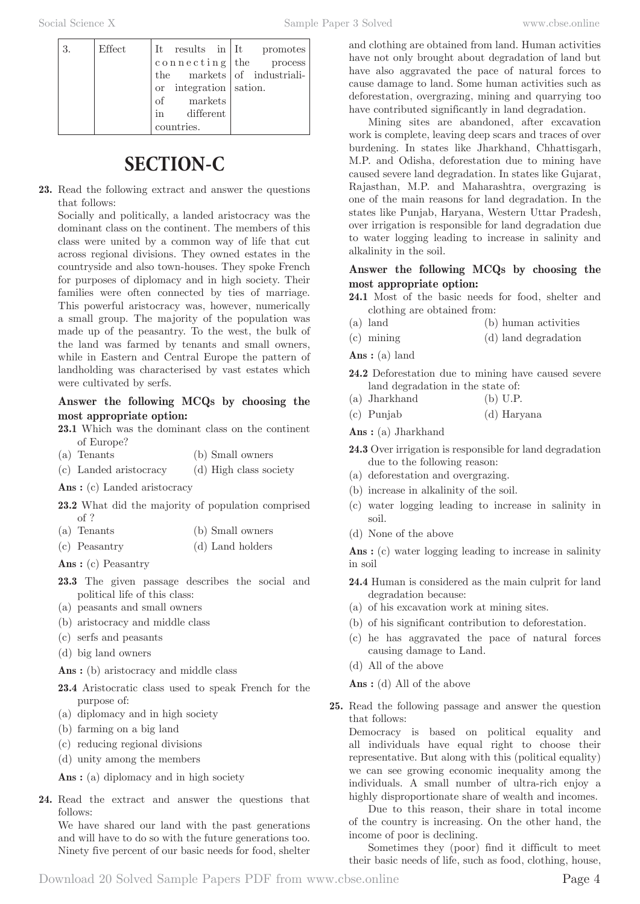| 3. | Effect |                        |  | It results in $It$ promotes |
|----|--------|------------------------|--|-----------------------------|
|    |        |                        |  | $\cosh$ necting the process |
|    |        |                        |  | the markets of industriali- |
|    |        | or integration sation. |  |                             |
|    |        | of markets             |  |                             |
|    |        | in different           |  |                             |
|    |        | countries.             |  |                             |

# **SECTION-C**

**23.** Read the following extract and answer the questions that follows:

Socially and politically, a landed aristocracy was the dominant class on the continent. The members of this class were united by a common way of life that cut across regional divisions. They owned estates in the countryside and also town-houses. They spoke French for purposes of diplomacy and in high society. Their families were often connected by ties of marriage. This powerful aristocracy was, however, numerically a small group. The majority of the population was made up of the peasantry. To the west, the bulk of the land was farmed by tenants and small owners, while in Eastern and Central Europe the pattern of landholding was characterised by vast estates which were cultivated by serfs.

#### **Answer the following MCQs by choosing the most appropriate option:**

- **23.1** Which was the dominant class on the continent of Europe?
- (a) Tenants (b) Small owners

(c) Landed aristocracy (d) High class society

- Ans : (c) Landed aristocracy
- **23.2** What did the majority of population comprised of ?
- (a) Tenants (b) Small owners
- (c) Peasantry (d) Land holders
- **Ans :** (c) Peasantry
- **23.3** The given passage describes the social and political life of this class:
- (a) peasants and small owners
- (b) aristocracy and middle class
- (c) serfs and peasants
- (d) big land owners

Ans : (b) aristocracy and middle class

- **23.4** Aristocratic class used to speak French for the purpose of:
- (a) diplomacy and in high society
- (b) farming on a big land
- (c) reducing regional divisions
- (d) unity among the members

Ans : (a) diplomacy and in high society

**24.** Read the extract and answer the questions that follows:

We have shared our land with the past generations and will have to do so with the future generations too. Ninety five percent of our basic needs for food, shelter and clothing are obtained from land. Human activities have not only brought about degradation of land but have also aggravated the pace of natural forces to cause damage to land. Some human activities such as deforestation, overgrazing, mining and quarrying too have contributed significantly in land degradation.

Mining sites are abandoned, after excavation work is complete, leaving deep scars and traces of over burdening. In states like Jharkhand, Chhattisgarh, M.P. and Odisha, deforestation due to mining have caused severe land degradation. In states like Gujarat, Rajasthan, M.P. and Maharashtra, overgrazing is one of the main reasons for land degradation. In the states like Punjab, Haryana, Western Uttar Pradesh, over irrigation is responsible for land degradation due to water logging leading to increase in salinity and alkalinity in the soil.

#### **Answer the following MCQs by choosing the most appropriate option:**

- **24.1** Most of the basic needs for food, shelter and clothing are obtained from:
- (a) land (b) human activities
- (c) mining (d) land degradation

**Ans :** (a) land

- **24.2** Deforestation due to mining have caused severe land degradation in the state of:
- (a) Jharkhand (b) U.P.
- (c) Punjab (d) Haryana

**Ans :** (a) Jharkhand

- **24.3** Over irrigation is responsible for land degradation due to the following reason:
- (a) deforestation and overgrazing.
- (b) increase in alkalinity of the soil.
- (c) water logging leading to increase in salinity in soil.
- (d) None of the above

Ans : (c) water logging leading to increase in salinity in soil

- **24.4** Human is considered as the main culprit for land degradation because:
- (a) of his excavation work at mining sites.
- (b) of his significant contribution to deforestation.
- (c) he has aggravated the pace of natural forces causing damage to Land.
- (d) All of the above

**Ans :** (d) All of the above

**25.** Read the following passage and answer the question that follows:

Democracy is based on political equality and all individuals have equal right to choose their representative. But along with this (political equality) we can see growing economic inequality among the individuals. A small number of ultra-rich enjoy a highly disproportionate share of wealth and incomes.

Due to this reason, their share in total income of the country is increasing. On the other hand, the income of poor is declining.

Sometimes they (poor) find it difficult to meet their basic needs of life, such as food, clothing, house,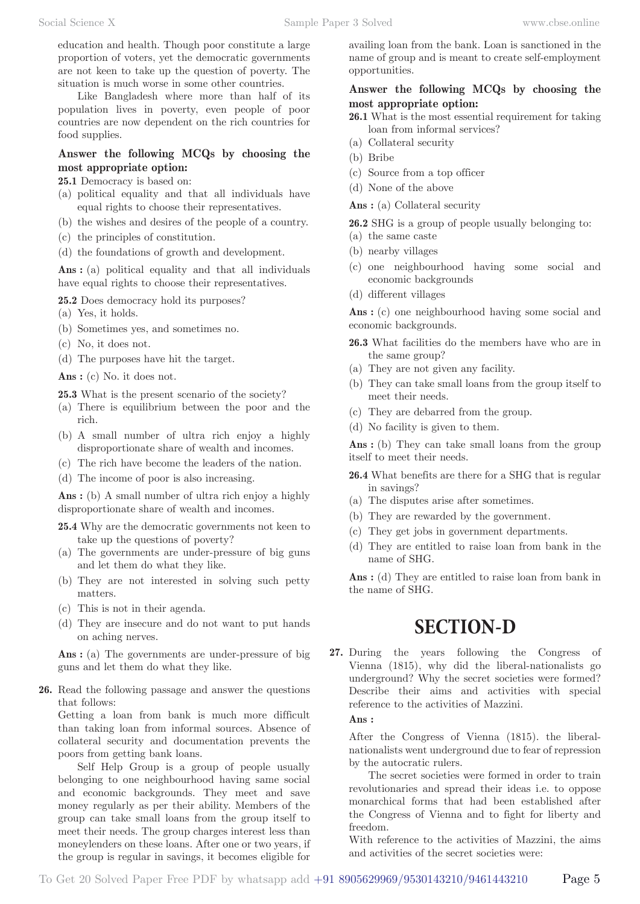education and health. Though poor constitute a large proportion of voters, yet the democratic governments are not keen to take up the question of poverty. The situation is much worse in some other countries.

Like Bangladesh where more than half of its population lives in poverty, even people of poor countries are now dependent on the rich countries for food supplies.

#### **Answer the following MCQs by choosing the most appropriate option:**

**25.1** Democracy is based on:

- (a) political equality and that all individuals have equal rights to choose their representatives.
- (b) the wishes and desires of the people of a country.
- (c) the principles of constitution.
- (d) the foundations of growth and development.

Ans : (a) political equality and that all individuals have equal rights to choose their representatives.

**25.2** Does democracy hold its purposes?

(a) Yes, it holds.

- (b) Sometimes yes, and sometimes no.
- (c) No, it does not.
- (d) The purposes have hit the target.

Ans : (c) No. it does not.

**25.3** What is the present scenario of the society?

- (a) There is equilibrium between the poor and the rich.
- (b) A small number of ultra rich enjoy a highly disproportionate share of wealth and incomes.
- (c) The rich have become the leaders of the nation.
- (d) The income of poor is also increasing.

Ans : (b) A small number of ultra rich enjoy a highly disproportionate share of wealth and incomes.

**25.4** Why are the democratic governments not keen to take up the questions of poverty?

- (a) The governments are under-pressure of big guns and let them do what they like.
- (b) They are not interested in solving such petty matters.
- (c) This is not in their agenda.
- (d) They are insecure and do not want to put hands on aching nerves.

Ans : (a) The governments are under-pressure of big guns and let them do what they like.

**26.** Read the following passage and answer the questions that follows:

Getting a loan from bank is much more difficult than taking loan from informal sources. Absence of collateral security and documentation prevents the poors from getting bank loans.

Self Help Group is a group of people usually belonging to one neighbourhood having same social and economic backgrounds. They meet and save money regularly as per their ability. Members of the group can take small loans from the group itself to meet their needs. The group charges interest less than moneylenders on these loans. After one or two years, if the group is regular in savings, it becomes eligible for

availing loan from the bank. Loan is sanctioned in the name of group and is meant to create self-employment opportunities.

#### **Answer the following MCQs by choosing the most appropriate option:**

- **26.1** What is the most essential requirement for taking loan from informal services?
- (a) Collateral security
- (b) Bribe
- (c) Source from a top officer
- (d) None of the above

Ans : (a) Collateral security

**26.2** SHG is a group of people usually belonging to: (a) the same caste

- (b) nearby villages
- (c) one neighbourhood having some social and economic backgrounds
- (d) different villages

Ans : (c) one neighbourhood having some social and economic backgrounds.

- **26.3** What facilities do the members have who are in the same group?
- (a) They are not given any facility.
- (b) They can take small loans from the group itself to meet their needs.
- (c) They are debarred from the group.
- (d) No facility is given to them.

Ans : (b) They can take small loans from the group itself to meet their needs.

- **26.4** What benefits are there for a SHG that is regular in savings?
- (a) The disputes arise after sometimes.
- (b) They are rewarded by the government.
- (c) They get jobs in government departments.
- (d) They are entitled to raise loan from bank in the name of SHG.

Ans : (d) They are entitled to raise loan from bank in the name of SHG.

## **SECTION-D**

**27.** During the years following the Congress of Vienna (1815), why did the liberal-nationalists go underground? Why the secret societies were formed? Describe their aims and activities with special reference to the activities of Mazzini.

**Ans :** 

After the Congress of Vienna (1815). the liberalnationalists went underground due to fear of repression by the autocratic rulers.

The secret societies were formed in order to train revolutionaries and spread their ideas i.e. to oppose monarchical forms that had been established after the Congress of Vienna and to fight for liberty and freedom.

With reference to the activities of Mazzini, the aims and activities of the secret societies were: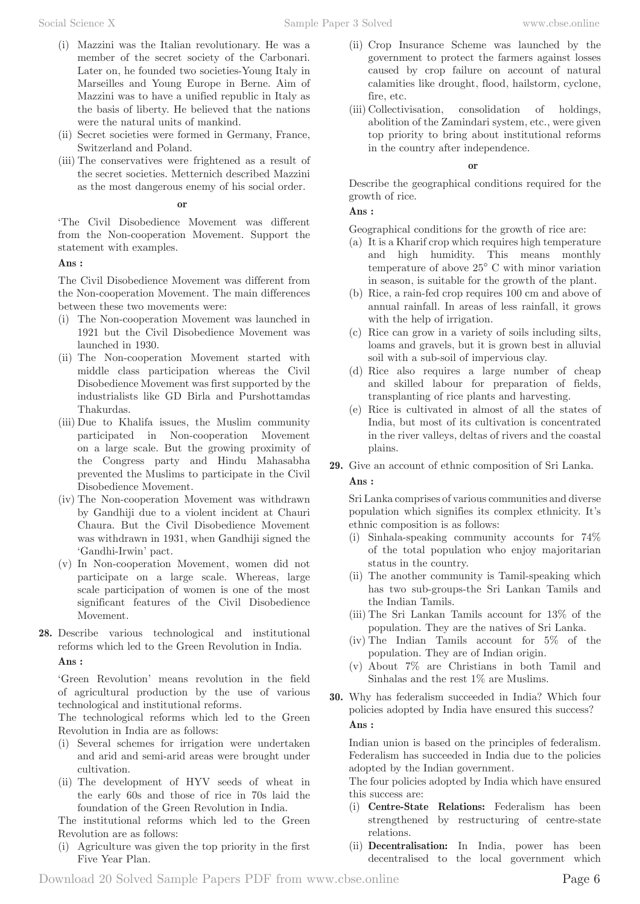- (i) Mazzini was the Italian revolutionary. He was a member of the secret society of the Carbonari. Later on, he founded two societies-Young Italy in Marseilles and Young Europe in Berne. Aim of Mazzini was to have a unified republic in Italy as the basis of liberty. He believed that the nations were the natural units of mankind.
- (ii) Secret societies were formed in Germany, France, Switzerland and Poland.
- (iii) The conservatives were frightened as a result of the secret societies. Metternich described Mazzini as the most dangerous enemy of his social order.

#### **or**

'The Civil Disobedience Movement was different from the Non-cooperation Movement. Support the statement with examples.

#### **Ans :**

The Civil Disobedience Movement was different from the Non-cooperation Movement. The main differences between these two movements were:

- (i) The Non-cooperation Movement was launched in 1921 but the Civil Disobedience Movement was launched in 1930.
- (ii) The Non-cooperation Movement started with middle class participation whereas the Civil Disobedience Movement was first supported by the industrialists like GD Birla and Purshottamdas Thakurdas.
- (iii) Due to Khalifa issues, the Muslim community participated in Non-cooperation Movement on a large scale. But the growing proximity of the Congress party and Hindu Mahasabha prevented the Muslims to participate in the Civil Disobedience Movement.
- (iv) The Non-cooperation Movement was withdrawn by Gandhiji due to a violent incident at Chauri Chaura. But the Civil Disobedience Movement was withdrawn in 1931, when Gandhiji signed the 'Gandhi-Irwin' pact.
- (v) In Non-cooperation Movement, women did not participate on a large scale. Whereas, large scale participation of women is one of the most significant features of the Civil Disobedience Movement.
- **28.** Describe various technological and institutional reforms which led to the Green Revolution in India.

#### **Ans :**

'Green Revolution' means revolution in the field of agricultural production by the use of various technological and institutional reforms.

The technological reforms which led to the Green Revolution in India are as follows:

- (i) Several schemes for irrigation were undertaken and arid and semi-arid areas were brought under cultivation.
- (ii) The development of HYV seeds of wheat in the early 60s and those of rice in 70s laid the foundation of the Green Revolution in India.

The institutional reforms which led to the Green Revolution are as follows:

(i) Agriculture was given the top priority in the first Five Year Plan.

- (ii) Crop Insurance Scheme was launched by the government to protect the farmers against losses caused by crop failure on account of natural calamities like drought, flood, hailstorm, cyclone, fire, etc.
- (iii) Collectivisation, consolidation of holdings, abolition of the Zamindari system, etc., were given top priority to bring about institutional reforms in the country after independence.

#### **or**

Describe the geographical conditions required for the growth of rice.

#### **Ans :**

Geographical conditions for the growth of rice are:

- (a) It is a Kharif crop which requires high temperature and high humidity. This means monthly temperature of above 25° C with minor variation in season, is suitable for the growth of the plant.
- (b) Rice, a rain-fed crop requires 100 cm and above of annual rainfall. In areas of less rainfall, it grows with the help of irrigation.
- (c) Rice can grow in a variety of soils including silts, loams and gravels, but it is grown best in alluvial soil with a sub-soil of impervious clay.
- (d) Rice also requires a large number of cheap and skilled labour for preparation of fields, transplanting of rice plants and harvesting.
- (e) Rice is cultivated in almost of all the states of India, but most of its cultivation is concentrated in the river valleys, deltas of rivers and the coastal plains.
- **29.** Give an account of ethnic composition of Sri Lanka.

#### **Ans :**

Sri Lanka comprises of various communities and diverse population which signifies its complex ethnicity. It's ethnic composition is as follows:

- (i) Sinhala-speaking community accounts for 74% of the total population who enjoy majoritarian status in the country.
- (ii) The another community is Tamil-speaking which has two sub-groups-the Sri Lankan Tamils and the Indian Tamils.
- (iii) The Sri Lankan Tamils account for 13% of the population. They are the natives of Sri Lanka.
- (iv) The Indian Tamils account for 5% of the population. They are of Indian origin.
- (v) About 7% are Christians in both Tamil and Sinhalas and the rest 1% are Muslims.
- **30.** Why has federalism succeeded in India? Which four policies adopted by India have ensured this success? **Ans :**

Indian union is based on the principles of federalism. Federalism has succeeded in India due to the policies adopted by the Indian government.

The four policies adopted by India which have ensured this success are:

- (i) **Centre-State Relations:** Federalism has been strengthened by restructuring of centre-state relations.
- (ii) **Decentralisation:** In India, power has been decentralised to the local government which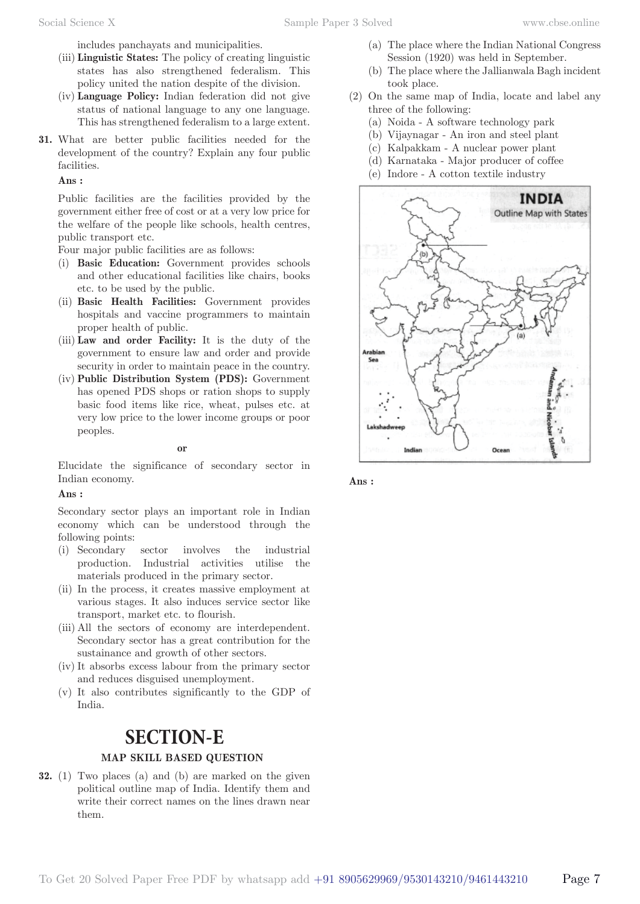includes panchayats and municipalities.

- (iii) **Linguistic States:** The policy of creating linguistic states has also strengthened federalism. This policy united the nation despite of the division.
- (iv) **Language Policy:** Indian federation did not give status of national language to any one language. This has strengthened federalism to a large extent.
- **31.** What are better public facilities needed for the development of the country? Explain any four public facilities.

#### **Ans :**

Public facilities are the facilities provided by the government either free of cost or at a very low price for the welfare of the people like schools, health centres, public transport etc.

Four major public facilities are as follows:

- (i) **Basic Education:** Government provides schools and other educational facilities like chairs, books etc. to be used by the public.
- (ii) **Basic Health Facilities:** Government provides hospitals and vaccine programmers to maintain proper health of public.
- (iii) **Law and order Facility:** It is the duty of the government to ensure law and order and provide security in order to maintain peace in the country.
- (iv) **Public Distribution System (PDS):** Government has opened PDS shops or ration shops to supply basic food items like rice, wheat, pulses etc. at very low price to the lower income groups or poor peoples.

#### **or**

Elucidate the significance of secondary sector in Indian economy.

#### **Ans :**

Secondary sector plays an important role in Indian economy which can be understood through the following points:

- (i) Secondary sector involves the industrial production. Industrial activities utilise the materials produced in the primary sector.
- (ii) In the process, it creates massive employment at various stages. It also induces service sector like transport, market etc. to flourish.
- (iii) All the sectors of economy are interdependent. Secondary sector has a great contribution for the sustainance and growth of other sectors.
- (iv) It absorbs excess labour from the primary sector and reduces disguised unemployment.
- (v) It also contributes significantly to the GDP of India.

### **SECTION-E**

#### **MAP SKILL BASED QUESTION**

**32.** (1) Two places (a) and (b) are marked on the given political outline map of India. Identify them and write their correct names on the lines drawn near them.

- (a) The place where the Indian National Congress Session (1920) was held in September.
- (b) The place where the Jallianwala Bagh incident took place.
- (2) On the same map of India, locate and label any three of the following:
	- (a) Noida A software technology park
	- (b) Vijaynagar An iron and steel plant
	- (c) Kalpakkam A nuclear power plant
	- (d) Karnataka Major producer of coffee
	- (e) Indore A cotton textile industry



**Ans :**